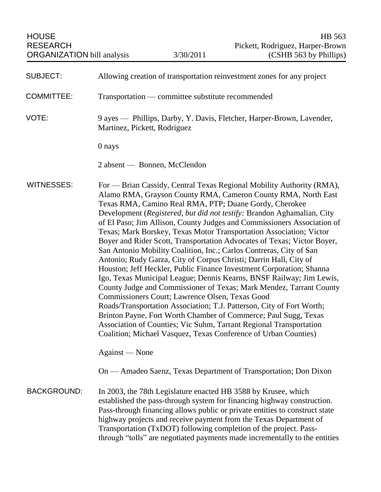| <b>SUBJECT:</b>    | Allowing creation of transportation reinvestment zones for any project                                                                                                                                                                                                                                                                                                                                                                                                                                                                                                                                                                                                                                                                                                                                                                                                                                                                                                                                                                                                                                                                                                                                             |
|--------------------|--------------------------------------------------------------------------------------------------------------------------------------------------------------------------------------------------------------------------------------------------------------------------------------------------------------------------------------------------------------------------------------------------------------------------------------------------------------------------------------------------------------------------------------------------------------------------------------------------------------------------------------------------------------------------------------------------------------------------------------------------------------------------------------------------------------------------------------------------------------------------------------------------------------------------------------------------------------------------------------------------------------------------------------------------------------------------------------------------------------------------------------------------------------------------------------------------------------------|
| <b>COMMITTEE:</b>  | Transportation — committee substitute recommended                                                                                                                                                                                                                                                                                                                                                                                                                                                                                                                                                                                                                                                                                                                                                                                                                                                                                                                                                                                                                                                                                                                                                                  |
| VOTE:              | 9 ayes — Phillips, Darby, Y. Davis, Fletcher, Harper-Brown, Lavender,<br>Martinez, Pickett, Rodriguez                                                                                                                                                                                                                                                                                                                                                                                                                                                                                                                                                                                                                                                                                                                                                                                                                                                                                                                                                                                                                                                                                                              |
|                    | 0 nays                                                                                                                                                                                                                                                                                                                                                                                                                                                                                                                                                                                                                                                                                                                                                                                                                                                                                                                                                                                                                                                                                                                                                                                                             |
|                    | 2 absent — Bonnen, McClendon                                                                                                                                                                                                                                                                                                                                                                                                                                                                                                                                                                                                                                                                                                                                                                                                                                                                                                                                                                                                                                                                                                                                                                                       |
| <b>WITNESSES:</b>  | For — Brian Cassidy, Central Texas Regional Mobility Authority (RMA),<br>Alamo RMA, Grayson County RMA, Cameron County RMA, North East<br>Texas RMA, Camino Real RMA, PTP; Duane Gordy, Cherokee<br>Development (Registered, but did not testify: Brandon Aghamalian, City<br>of El Paso; Jim Allison, County Judges and Commissioners Association of<br>Texas; Mark Borskey, Texas Motor Transportation Association; Victor<br>Boyer and Rider Scott, Transportation Advocates of Texas; Victor Boyer,<br>San Antonio Mobility Coalition, Inc.; Carlos Contreras, City of San<br>Antonio; Rudy Garza, City of Corpus Christi; Darrin Hall, City of<br>Houston; Jeff Heckler, Public Finance Investment Corporation; Shanna<br>Igo, Texas Municipal League; Dennis Kearns, BNSF Railway; Jim Lewis,<br>County Judge and Commissioner of Texas; Mark Mendez, Tarrant County<br>Commissioners Court; Lawrence Olsen, Texas Good<br>Roads/Transportation Association; T.J. Patterson, City of Fort Worth;<br>Brinton Payne, Fort Worth Chamber of Commerce; Paul Sugg, Texas<br>Association of Counties; Vic Suhm, Tarrant Regional Transportation<br>Coalition; Michael Vasquez, Texas Conference of Urban Counties) |
|                    | Against — None                                                                                                                                                                                                                                                                                                                                                                                                                                                                                                                                                                                                                                                                                                                                                                                                                                                                                                                                                                                                                                                                                                                                                                                                     |
|                    | On — Amadeo Saenz, Texas Department of Transportation; Don Dixon                                                                                                                                                                                                                                                                                                                                                                                                                                                                                                                                                                                                                                                                                                                                                                                                                                                                                                                                                                                                                                                                                                                                                   |
| <b>BACKGROUND:</b> | In 2003, the 78th Legislature enacted HB 3588 by Krusee, which<br>established the pass-through system for financing highway construction.<br>Pass-through financing allows public or private entities to construct state<br>highway projects and receive payment from the Texas Department of<br>Transportation (TxDOT) following completion of the project. Pass-<br>through "tolls" are negotiated payments made incrementally to the entities                                                                                                                                                                                                                                                                                                                                                                                                                                                                                                                                                                                                                                                                                                                                                                   |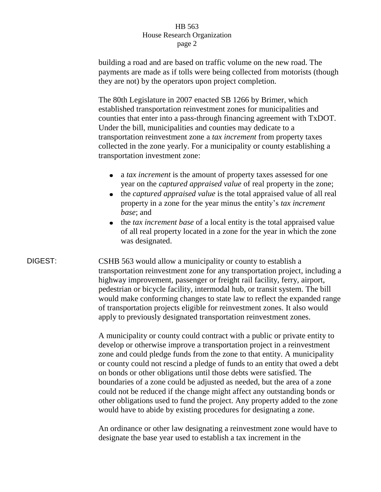building a road and are based on traffic volume on the new road. The payments are made as if tolls were being collected from motorists (though they are not) by the operators upon project completion.

The 80th Legislature in 2007 enacted SB 1266 by Brimer, which established transportation reinvestment zones for municipalities and counties that enter into a pass-through financing agreement with TxDOT. Under the bill, municipalities and counties may dedicate to a transportation reinvestment zone a *tax increment* from property taxes collected in the zone yearly. For a municipality or county establishing a transportation investment zone:

- a *tax increment* is the amount of property taxes assessed for one  $\bullet$ year on the *captured appraised value* of real property in the zone;
- $\bullet$ the *captured appraised value* is the total appraised value of all real property in a zone for the year minus the entity's *tax increment base*; and
- the *tax increment base* of a local entity is the total appraised value of all real property located in a zone for the year in which the zone was designated.

DIGEST: CSHB 563 would allow a municipality or county to establish a transportation reinvestment zone for any transportation project, including a highway improvement, passenger or freight rail facility, ferry, airport, pedestrian or bicycle facility, intermodal hub, or transit system. The bill would make conforming changes to state law to reflect the expanded range of transportation projects eligible for reinvestment zones. It also would apply to previously designated transportation reinvestment zones.

> A municipality or county could contract with a public or private entity to develop or otherwise improve a transportation project in a reinvestment zone and could pledge funds from the zone to that entity. A municipality or county could not rescind a pledge of funds to an entity that owed a debt on bonds or other obligations until those debts were satisfied. The boundaries of a zone could be adjusted as needed, but the area of a zone could not be reduced if the change might affect any outstanding bonds or other obligations used to fund the project. Any property added to the zone would have to abide by existing procedures for designating a zone.

> An ordinance or other law designating a reinvestment zone would have to designate the base year used to establish a tax increment in the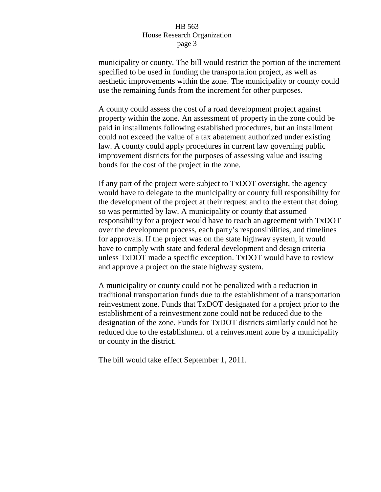municipality or county. The bill would restrict the portion of the increment specified to be used in funding the transportation project, as well as aesthetic improvements within the zone. The municipality or county could use the remaining funds from the increment for other purposes.

A county could assess the cost of a road development project against property within the zone. An assessment of property in the zone could be paid in installments following established procedures, but an installment could not exceed the value of a tax abatement authorized under existing law. A county could apply procedures in current law governing public improvement districts for the purposes of assessing value and issuing bonds for the cost of the project in the zone.

If any part of the project were subject to TxDOT oversight, the agency would have to delegate to the municipality or county full responsibility for the development of the project at their request and to the extent that doing so was permitted by law. A municipality or county that assumed responsibility for a project would have to reach an agreement with TxDOT over the development process, each party's responsibilities, and timelines for approvals. If the project was on the state highway system, it would have to comply with state and federal development and design criteria unless TxDOT made a specific exception. TxDOT would have to review and approve a project on the state highway system.

A municipality or county could not be penalized with a reduction in traditional transportation funds due to the establishment of a transportation reinvestment zone. Funds that TxDOT designated for a project prior to the establishment of a reinvestment zone could not be reduced due to the designation of the zone. Funds for TxDOT districts similarly could not be reduced due to the establishment of a reinvestment zone by a municipality or county in the district.

The bill would take effect September 1, 2011.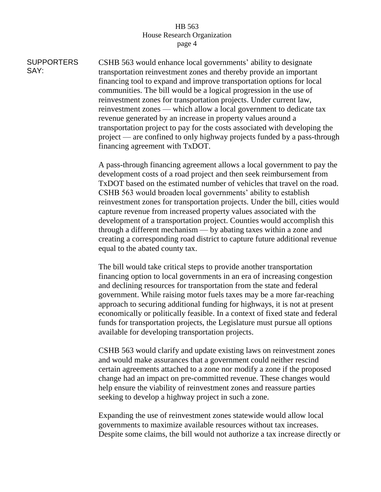**SUPPORTERS** SAY: CSHB 563 would enhance local governments' ability to designate transportation reinvestment zones and thereby provide an important financing tool to expand and improve transportation options for local communities. The bill would be a logical progression in the use of reinvestment zones for transportation projects. Under current law, reinvestment zones — which allow a local government to dedicate tax revenue generated by an increase in property values around a transportation project to pay for the costs associated with developing the project — are confined to only highway projects funded by a pass-through financing agreement with TxDOT.

> A pass-through financing agreement allows a local government to pay the development costs of a road project and then seek reimbursement from TxDOT based on the estimated number of vehicles that travel on the road. CSHB 563 would broaden local governments' ability to establish reinvestment zones for transportation projects. Under the bill, cities would capture revenue from increased property values associated with the development of a transportation project. Counties would accomplish this through a different mechanism — by abating taxes within a zone and creating a corresponding road district to capture future additional revenue equal to the abated county tax.

> The bill would take critical steps to provide another transportation financing option to local governments in an era of increasing congestion and declining resources for transportation from the state and federal government. While raising motor fuels taxes may be a more far-reaching approach to securing additional funding for highways, it is not at present economically or politically feasible. In a context of fixed state and federal funds for transportation projects, the Legislature must pursue all options available for developing transportation projects.

> CSHB 563 would clarify and update existing laws on reinvestment zones and would make assurances that a government could neither rescind certain agreements attached to a zone nor modify a zone if the proposed change had an impact on pre-committed revenue. These changes would help ensure the viability of reinvestment zones and reassure parties seeking to develop a highway project in such a zone.

Expanding the use of reinvestment zones statewide would allow local governments to maximize available resources without tax increases. Despite some claims, the bill would not authorize a tax increase directly or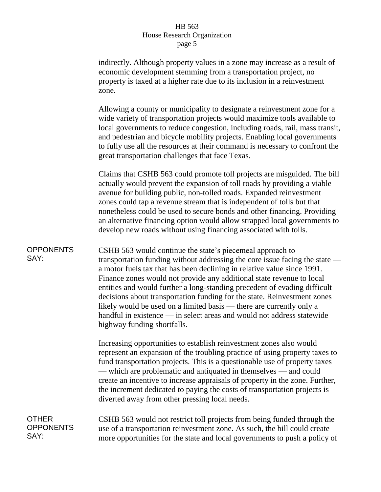indirectly. Although property values in a zone may increase as a result of economic development stemming from a transportation project, no property is taxed at a higher rate due to its inclusion in a reinvestment zone.

Allowing a county or municipality to designate a reinvestment zone for a wide variety of transportation projects would maximize tools available to local governments to reduce congestion, including roads, rail, mass transit, and pedestrian and bicycle mobility projects. Enabling local governments to fully use all the resources at their command is necessary to confront the great transportation challenges that face Texas.

Claims that CSHB 563 could promote toll projects are misguided. The bill actually would prevent the expansion of toll roads by providing a viable avenue for building public, non-tolled roads. Expanded reinvestment zones could tap a revenue stream that is independent of tolls but that nonetheless could be used to secure bonds and other financing. Providing an alternative financing option would allow strapped local governments to develop new roads without using financing associated with tolls.

**OPPONENTS** SAY: CSHB 563 would continue the state's piecemeal approach to transportation funding without addressing the core issue facing the state a motor fuels tax that has been declining in relative value since 1991. Finance zones would not provide any additional state revenue to local entities and would further a long-standing precedent of evading difficult decisions about transportation funding for the state. Reinvestment zones likely would be used on a limited basis — there are currently only a handful in existence — in select areas and would not address statewide highway funding shortfalls.

> Increasing opportunities to establish reinvestment zones also would represent an expansion of the troubling practice of using property taxes to fund transportation projects. This is a questionable use of property taxes — which are problematic and antiquated in themselves — and could create an incentive to increase appraisals of property in the zone. Further, the increment dedicated to paying the costs of transportation projects is diverted away from other pressing local needs.

# OTHER **OPPONENTS** SAY:

CSHB 563 would not restrict toll projects from being funded through the use of a transportation reinvestment zone. As such, the bill could create more opportunities for the state and local governments to push a policy of